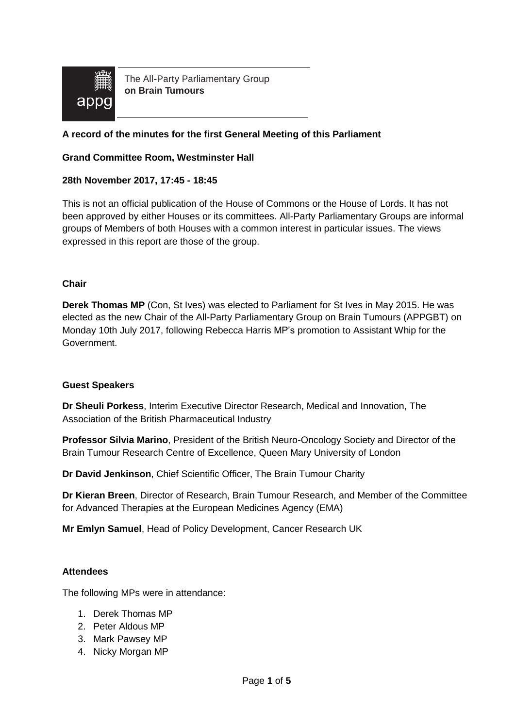

The All-Party Parliamentary Group **on Brain Tumours**

### **A record of the minutes for the first General Meeting of this Parliament**

### **Grand Committee Room, Westminster Hall**

### **28th November 2017, 17:45 - 18:45**

This is not an official publication of the House of Commons or the House of Lords. It has not been approved by either Houses or its committees. All-Party Parliamentary Groups are informal groups of Members of both Houses with a common interest in particular issues. The views expressed in this report are those of the group.

#### **Chair**

**Derek Thomas MP** (Con, St Ives) was elected to Parliament for St Ives in May 2015. He was elected as the new Chair of the All-Party Parliamentary Group on Brain Tumours (APPGBT) on Monday 10th July 2017, following Rebecca Harris MP's promotion to Assistant Whip for the Government.

#### **Guest Speakers**

**Dr Sheuli Porkess**, Interim Executive Director Research, Medical and Innovation, The Association of the British Pharmaceutical Industry

**Professor Silvia Marino**, President of the British Neuro-Oncology Society and Director of the Brain Tumour Research Centre of Excellence, Queen Mary University of London

**Dr David Jenkinson**, Chief Scientific Officer, The Brain Tumour Charity

**Dr Kieran Breen**, Director of Research, Brain Tumour Research, and Member of the Committee for Advanced Therapies at the European Medicines Agency (EMA)

**Mr Emlyn Samuel**, Head of Policy Development, Cancer Research UK

#### **Attendees**

The following MPs were in attendance:

- 1. Derek Thomas MP
- 2. Peter Aldous MP
- 3. Mark Pawsey MP
- 4. Nicky Morgan MP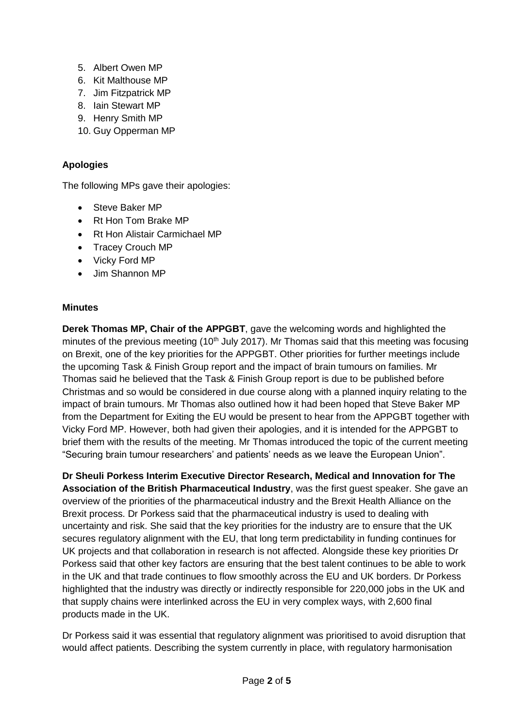- 5. Albert Owen MP
- 6. Kit Malthouse MP
- 7. Jim Fitzpatrick MP
- 8. Iain Stewart MP
- 9. Henry Smith MP
- 10. Guy Opperman MP

# **Apologies**

The following MPs gave their apologies:

- Steve Baker MP
- Rt Hon Tom Brake MP
- Rt Hon Alistair Carmichael MP
- Tracey Crouch MP
- Vicky Ford MP
- Jim Shannon MP

## **Minutes**

**Derek Thomas MP, Chair of the APPGBT**, gave the welcoming words and highlighted the minutes of the previous meeting  $(10<sup>th</sup>$  July 2017). Mr Thomas said that this meeting was focusing on Brexit, one of the key priorities for the APPGBT. Other priorities for further meetings include the upcoming Task & Finish Group report and the impact of brain tumours on families. Mr Thomas said he believed that the Task & Finish Group report is due to be published before Christmas and so would be considered in due course along with a planned inquiry relating to the impact of brain tumours. Mr Thomas also outlined how it had been hoped that Steve Baker MP from the Department for Exiting the EU would be present to hear from the APPGBT together with Vicky Ford MP. However, both had given their apologies, and it is intended for the APPGBT to brief them with the results of the meeting. Mr Thomas introduced the topic of the current meeting "Securing brain tumour researchers' and patients' needs as we leave the European Union".

**Dr Sheuli Porkess Interim Executive Director Research, Medical and Innovation for The Association of the British Pharmaceutical Industry**, was the first guest speaker. She gave an overview of the priorities of the pharmaceutical industry and the Brexit Health Alliance on the Brexit process. Dr Porkess said that the pharmaceutical industry is used to dealing with uncertainty and risk. She said that the key priorities for the industry are to ensure that the UK secures regulatory alignment with the EU, that long term predictability in funding continues for UK projects and that collaboration in research is not affected. Alongside these key priorities Dr Porkess said that other key factors are ensuring that the best talent continues to be able to work in the UK and that trade continues to flow smoothly across the EU and UK borders. Dr Porkess highlighted that the industry was directly or indirectly responsible for 220,000 jobs in the UK and that supply chains were interlinked across the EU in very complex ways, with 2,600 final products made in the UK.

Dr Porkess said it was essential that regulatory alignment was prioritised to avoid disruption that would affect patients. Describing the system currently in place, with regulatory harmonisation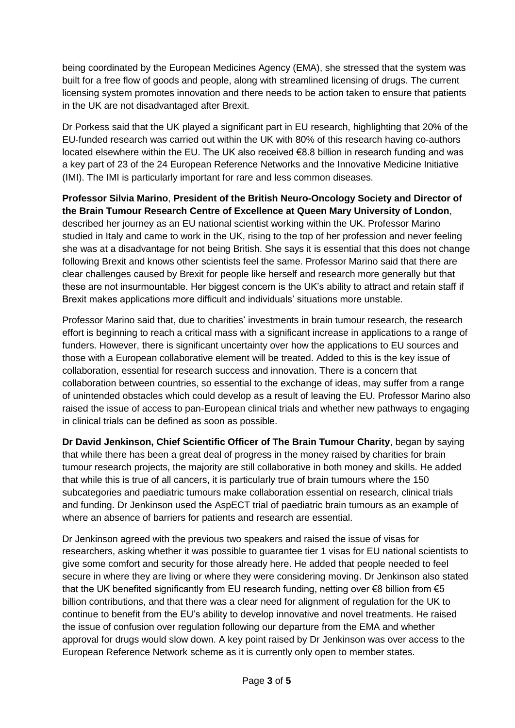being coordinated by the European Medicines Agency (EMA), she stressed that the system was built for a free flow of goods and people, along with streamlined licensing of drugs. The current licensing system promotes innovation and there needs to be action taken to ensure that patients in the UK are not disadvantaged after Brexit.

Dr Porkess said that the UK played a significant part in EU research, highlighting that 20% of the EU-funded research was carried out within the UK with 80% of this research having co-authors located elsewhere within the EU. The UK also received €8.8 billion in research funding and was a key part of 23 of the 24 European Reference Networks and the Innovative Medicine Initiative (IMI). The IMI is particularly important for rare and less common diseases.

**Professor Silvia Marino**, **President of the British Neuro-Oncology Society and Director of the Brain Tumour Research Centre of Excellence at Queen Mary University of London**, described her journey as an EU national scientist working within the UK. Professor Marino studied in Italy and came to work in the UK, rising to the top of her profession and never feeling she was at a disadvantage for not being British. She says it is essential that this does not change following Brexit and knows other scientists feel the same. Professor Marino said that there are clear challenges caused by Brexit for people like herself and research more generally but that these are not insurmountable. Her biggest concern is the UK's ability to attract and retain staff if Brexit makes applications more difficult and individuals' situations more unstable.

Professor Marino said that, due to charities' investments in brain tumour research, the research effort is beginning to reach a critical mass with a significant increase in applications to a range of funders. However, there is significant uncertainty over how the applications to EU sources and those with a European collaborative element will be treated. Added to this is the key issue of collaboration, essential for research success and innovation. There is a concern that collaboration between countries, so essential to the exchange of ideas, may suffer from a range of unintended obstacles which could develop as a result of leaving the EU. Professor Marino also raised the issue of access to pan-European clinical trials and whether new pathways to engaging in clinical trials can be defined as soon as possible.

**Dr David Jenkinson, Chief Scientific Officer of The Brain Tumour Charity**, began by saying that while there has been a great deal of progress in the money raised by charities for brain tumour research projects, the majority are still collaborative in both money and skills. He added that while this is true of all cancers, it is particularly true of brain tumours where the 150 subcategories and paediatric tumours make collaboration essential on research, clinical trials and funding. Dr Jenkinson used the AspECT trial of paediatric brain tumours as an example of where an absence of barriers for patients and research are essential.

Dr Jenkinson agreed with the previous two speakers and raised the issue of visas for researchers, asking whether it was possible to guarantee tier 1 visas for EU national scientists to give some comfort and security for those already here. He added that people needed to feel secure in where they are living or where they were considering moving. Dr Jenkinson also stated that the UK benefited significantly from EU research funding, netting over  $\epsilon$ 8 billion from  $\epsilon$ 5 billion contributions, and that there was a clear need for alignment of regulation for the UK to continue to benefit from the EU's ability to develop innovative and novel treatments. He raised the issue of confusion over regulation following our departure from the EMA and whether approval for drugs would slow down. A key point raised by Dr Jenkinson was over access to the European Reference Network scheme as it is currently only open to member states.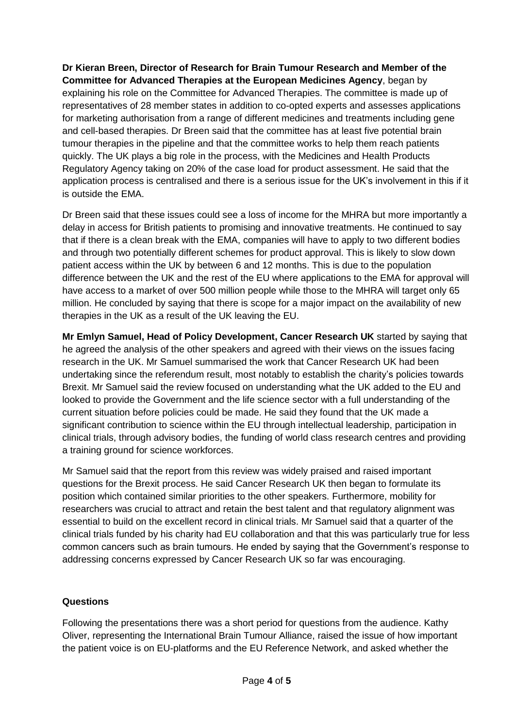**Dr Kieran Breen, Director of Research for Brain Tumour Research and Member of the Committee for Advanced Therapies at the European Medicines Agency**, began by explaining his role on the Committee for Advanced Therapies. The committee is made up of representatives of 28 member states in addition to co-opted experts and assesses applications for marketing authorisation from a range of different medicines and treatments including gene and cell-based therapies. Dr Breen said that the committee has at least five potential brain tumour therapies in the pipeline and that the committee works to help them reach patients quickly. The UK plays a big role in the process, with the Medicines and Health Products Regulatory Agency taking on 20% of the case load for product assessment. He said that the application process is centralised and there is a serious issue for the UK's involvement in this if it is outside the EMA.

Dr Breen said that these issues could see a loss of income for the MHRA but more importantly a delay in access for British patients to promising and innovative treatments. He continued to say that if there is a clean break with the EMA, companies will have to apply to two different bodies and through two potentially different schemes for product approval. This is likely to slow down patient access within the UK by between 6 and 12 months. This is due to the population difference between the UK and the rest of the EU where applications to the EMA for approval will have access to a market of over 500 million people while those to the MHRA will target only 65 million. He concluded by saying that there is scope for a major impact on the availability of new therapies in the UK as a result of the UK leaving the EU.

**Mr Emlyn Samuel, Head of Policy Development, Cancer Research UK** started by saying that he agreed the analysis of the other speakers and agreed with their views on the issues facing research in the UK. Mr Samuel summarised the work that Cancer Research UK had been undertaking since the referendum result, most notably to establish the charity's policies towards Brexit. Mr Samuel said the review focused on understanding what the UK added to the EU and looked to provide the Government and the life science sector with a full understanding of the current situation before policies could be made. He said they found that the UK made a significant contribution to science within the EU through intellectual leadership, participation in clinical trials, through advisory bodies, the funding of world class research centres and providing a training ground for science workforces.

Mr Samuel said that the report from this review was widely praised and raised important questions for the Brexit process. He said Cancer Research UK then began to formulate its position which contained similar priorities to the other speakers. Furthermore, mobility for researchers was crucial to attract and retain the best talent and that regulatory alignment was essential to build on the excellent record in clinical trials. Mr Samuel said that a quarter of the clinical trials funded by his charity had EU collaboration and that this was particularly true for less common cancers such as brain tumours. He ended by saying that the Government's response to addressing concerns expressed by Cancer Research UK so far was encouraging.

## **Questions**

Following the presentations there was a short period for questions from the audience. Kathy Oliver, representing the International Brain Tumour Alliance, raised the issue of how important the patient voice is on EU-platforms and the EU Reference Network, and asked whether the